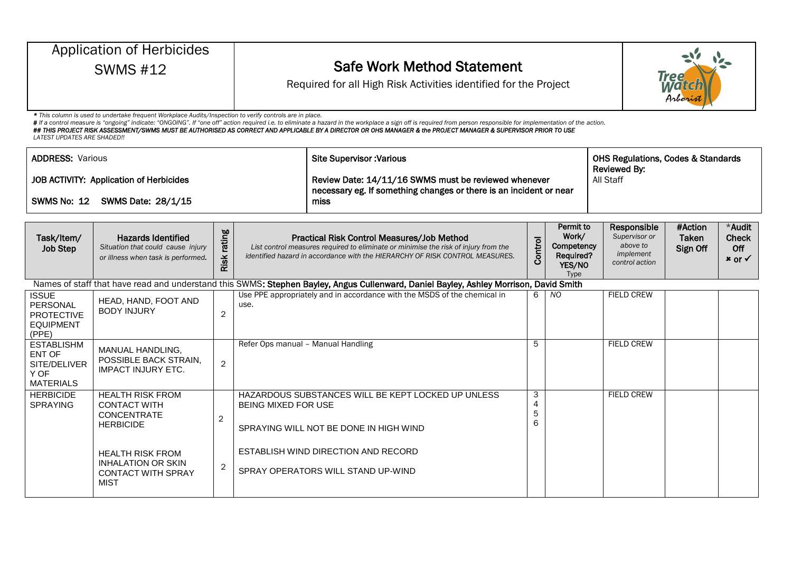| <b>Application of Herbicides</b><br><b>SWMS #12</b>                                 |                                                                                                          |                |                                                                                                                                    | <b>Safe Work Method Statement</b><br><b>Tree</b><br>Required for all High Risk Activities identified for the Project<br>Arboris                                                                                                                                                                                                                                                      |                                                                                          |                |                                                                         |                              |                                                      |  |  |  |
|-------------------------------------------------------------------------------------|----------------------------------------------------------------------------------------------------------|----------------|------------------------------------------------------------------------------------------------------------------------------------|--------------------------------------------------------------------------------------------------------------------------------------------------------------------------------------------------------------------------------------------------------------------------------------------------------------------------------------------------------------------------------------|------------------------------------------------------------------------------------------|----------------|-------------------------------------------------------------------------|------------------------------|------------------------------------------------------|--|--|--|
| <b>LATEST UPDATES ARE SHADED!!</b>                                                  | * This column is used to undertake frequent Workplace Audits/Inspection to verify controls are in place. |                |                                                                                                                                    | # If a control measure is "ongoing" indicate: "ONGOING". If "one off" action required i.e. to eliminate a hazard in the workplace a sign off is required from person responsible for implementation of the action.<br>## THIS PROJECT RISK ASSESSMENT/SWMS MUST BE AUTHORISED AS CORRECT AND APPLICABLE BY A DIRECTOR OR OHS MANAGER & the PROJECT MANAGER & SUPERVISOR PRIOR TO USE |                                                                                          |                |                                                                         |                              |                                                      |  |  |  |
| <b>ADDRESS: Various</b>                                                             |                                                                                                          |                |                                                                                                                                    | <b>Site Supervisor: Various</b>                                                                                                                                                                                                                                                                                                                                                      |                                                                                          |                |                                                                         |                              | <b>OHS Regulations, Codes &amp; Standards</b>        |  |  |  |
| <b>JOB ACTIVITY: Application of Herbicides</b><br>SWMS No: 12<br>SWMS Date: 28/1/15 |                                                                                                          |                | Review Date: 14/11/16 SWMS must be reviewed whenever<br>necessary eg. If something changes or there is an incident or near<br>miss | Reviewed By:<br>All Staff                                                                                                                                                                                                                                                                                                                                                            |                                                                                          |                |                                                                         |                              |                                                      |  |  |  |
| Task/Item/<br><b>Job Step</b>                                                       | <b>Hazards Identified</b><br>Situation that could cause injury<br>or illness when task is performed.     | rating<br>Risk |                                                                                                                                    | Practical Risk Control Measures/Job Method<br>List control measures required to eliminate or minimise the risk of injury from the<br>identified hazard in accordance with the HIERARCHY OF RISK CONTROL MEASURES.                                                                                                                                                                    | Permit to<br>Work/<br>Control<br>Competency<br><b>Required?</b><br>YES/NO<br><b>Type</b> |                | Responsible<br>Supervisor or<br>above to<br>implement<br>control action | #Action<br>Taken<br>Sign Off | *Audit<br><b>Check</b><br>Off<br>$x$ or $\checkmark$ |  |  |  |
|                                                                                     |                                                                                                          |                |                                                                                                                                    | Names of staff that have read and understand this SWMS: Stephen Bayley, Angus Cullenward, Daniel Bayley, Ashley Morrison, David Smith                                                                                                                                                                                                                                                |                                                                                          |                |                                                                         |                              |                                                      |  |  |  |
| <b>ISSUE</b><br>PERSONAL<br><b>PROTECTIVE</b><br><b>EQUIPMENT</b><br>(PPE)          | HEAD, HAND, FOOT AND<br><b>BODY INJURY</b>                                                               | $\overline{2}$ | use.                                                                                                                               | Use PPE appropriately and in accordance with the MSDS of the chemical in                                                                                                                                                                                                                                                                                                             | 6                                                                                        | $\overline{N}$ | <b>FIELD CREW</b>                                                       |                              |                                                      |  |  |  |
| <b>ESTABLISHM</b>                                                                   | MAANILIAL LIANINI INIO                                                                                   |                | Refer Ops manual - Manual Handling                                                                                                 |                                                                                                                                                                                                                                                                                                                                                                                      | 5                                                                                        |                | <b>FIELD CREW</b>                                                       |                              |                                                      |  |  |  |

| ∟∪ ⊓ ∪∟∟∪ ⊓<br>ENT OF<br>SITE/DELIVER<br>Y OF<br><b>MATERIALS</b> | MANUAL HANDLING,<br>POSSIBLE BACK STRAIN,<br><b>IMPACT INJURY ETC.</b>             | $\overline{2}$ |                                                                                                                            |                  |                   |  |
|-------------------------------------------------------------------|------------------------------------------------------------------------------------|----------------|----------------------------------------------------------------------------------------------------------------------------|------------------|-------------------|--|
| <b>HERBICIDE</b><br><b>SPRAYING</b>                               | <b>HEALTH RISK FROM</b><br><b>CONTACT WITH</b><br>CONCENTRATE<br><b>HERBICIDE</b>  | $\overline{2}$ | HAZARDOUS SUBSTANCES WILL BE KEPT LOCKED UP UNLESS<br><b>BEING MIXED FOR USE</b><br>SPRAYING WILL NOT BE DONE IN HIGH WIND | 3<br>4<br>5<br>6 | <b>FIELD CREW</b> |  |
|                                                                   | HEALTH RISK FROM<br>INHALATION OR SKIN<br><b>CONTACT WITH SPRAY</b><br><b>MIST</b> | $\overline{2}$ | ESTABLISH WIND DIRECTION AND RECORD<br>SPRAY OPERATORS WILL STAND UP-WIND                                                  |                  |                   |  |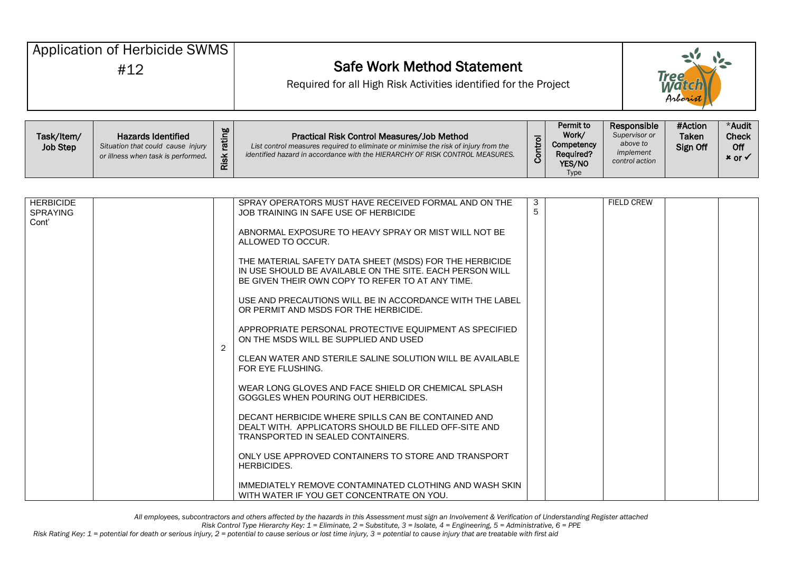| Application of Herbicide SWMS |                                                                                                      |                | <b>Safe Work Method Statement</b>                                                                                                                                                                                 | <b>Tree</b><br>Mai |                                                         |                                                                         |                                     |                                                      |  |
|-------------------------------|------------------------------------------------------------------------------------------------------|----------------|-------------------------------------------------------------------------------------------------------------------------------------------------------------------------------------------------------------------|--------------------|---------------------------------------------------------|-------------------------------------------------------------------------|-------------------------------------|------------------------------------------------------|--|
| #12                           |                                                                                                      |                | Required for all High Risk Activities identified for the Project                                                                                                                                                  | Arborist           |                                                         |                                                                         |                                     |                                                      |  |
| Task/Item/<br><b>Job Step</b> | <b>Hazards Identified</b><br>Situation that could cause injury<br>or illness when task is performed. | rating<br>Risk | Practical Risk Control Measures/Job Method<br>List control measures required to eliminate or minimise the risk of injury from the<br>identified hazard in accordance with the HIERARCHY OF RISK CONTROL MEASURES. | Control            | Permit to<br>Work/<br>Competency<br>Required?<br>YES/NO | Responsible<br>Supervisor or<br>above to<br>implement<br>control action | #Action<br><b>Taken</b><br>Sign Off | *Audit<br><b>Check</b><br>Off<br>$x$ or $\checkmark$ |  |

Type

| <b>HERBICIDE</b><br><b>SPRAYING</b> |   | SPRAY OPERATORS MUST HAVE RECEIVED FORMAL AND ON THE<br>JOB TRAINING IN SAFE USE OF HERBICIDE                                                                           | 3<br>5 | <b>FIELD CREW</b> |  |
|-------------------------------------|---|-------------------------------------------------------------------------------------------------------------------------------------------------------------------------|--------|-------------------|--|
| Cont'                               |   | ABNORMAL EXPOSURE TO HEAVY SPRAY OR MIST WILL NOT BE<br>ALLOWED TO OCCUR.                                                                                               |        |                   |  |
|                                     |   | THE MATERIAL SAFETY DATA SHEET (MSDS) FOR THE HERBICIDE<br>IN USE SHOULD BE AVAILABLE ON THE SITE. EACH PERSON WILL<br>BE GIVEN THEIR OWN COPY TO REFER TO AT ANY TIME. |        |                   |  |
|                                     |   | USE AND PRECAUTIONS WILL BE IN ACCORDANCE WITH THE LABEL<br>OR PERMIT AND MSDS FOR THE HERBICIDE.                                                                       |        |                   |  |
|                                     | 2 | APPROPRIATE PERSONAL PROTECTIVE EQUIPMENT AS SPECIFIED<br>ON THE MSDS WILL BE SUPPLIED AND USED                                                                         |        |                   |  |
|                                     |   | CLEAN WATER AND STERILE SALINE SOLUTION WILL BE AVAILABLE<br>FOR EYE FLUSHING.                                                                                          |        |                   |  |
|                                     |   | WEAR LONG GLOVES AND FACE SHIELD OR CHEMICAL SPLASH<br>GOGGLES WHEN POURING OUT HERBICIDES.                                                                             |        |                   |  |
|                                     |   | DECANT HERBICIDE WHERE SPILLS CAN BE CONTAINED AND<br>DEALT WITH. APPLICATORS SHOULD BE FILLED OFF-SITE AND<br>TRANSPORTED IN SEALED CONTAINERS.                        |        |                   |  |
|                                     |   | ONLY USE APPROVED CONTAINERS TO STORE AND TRANSPORT<br><b>HERBICIDES.</b>                                                                                               |        |                   |  |
|                                     |   | IMMEDIATELY REMOVE CONTAMINATED CLOTHING AND WASH SKIN<br>WITH WATER IF YOU GET CONCENTRATE ON YOU.                                                                     |        |                   |  |

*All employees, subcontractors and others affected by the hazards in this Assessment must sign an Involvement & Verification of Understanding Register attached*

*Risk Control Type Hierarchy Key: 1 = Eliminate, 2 = Substitute, 3 = Isolate, 4 = Engineering, 5 = Administrative, 6 = PPE*

*Risk Rating Key: 1 = potential for death or serious injury, 2 = potential to cause serious or lost time injury, 3 = potential to cause injury that are treatable with first aid*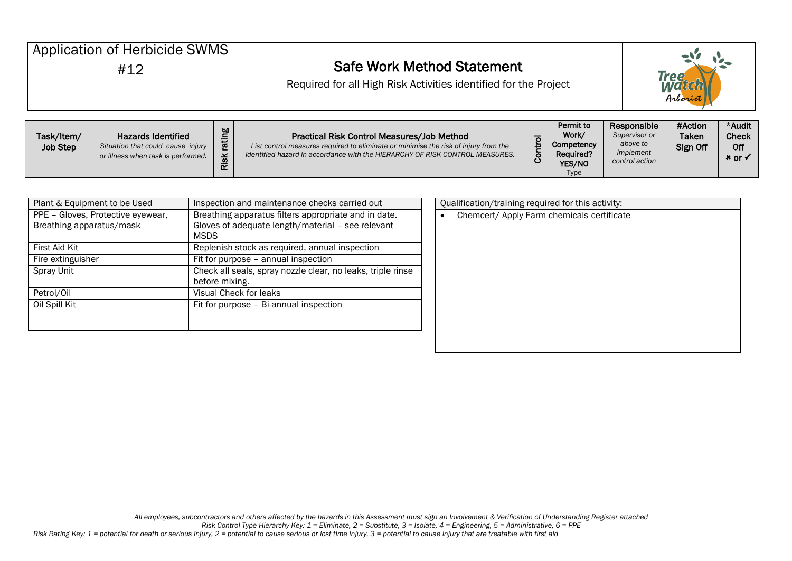| Application of Herbicide SWMS |                                                                                                      |                       | <b>Safe Work Method Statement</b>                                                                                                                                                                                 |         | Tree<br>M <i>in</i>                                     |                                                                         |                                     |                                                      |
|-------------------------------|------------------------------------------------------------------------------------------------------|-----------------------|-------------------------------------------------------------------------------------------------------------------------------------------------------------------------------------------------------------------|---------|---------------------------------------------------------|-------------------------------------------------------------------------|-------------------------------------|------------------------------------------------------|
| #12                           |                                                                                                      |                       | Required for all High Risk Activities identified for the Project                                                                                                                                                  |         | Arboris                                                 |                                                                         |                                     |                                                      |
| Task/Item/<br><b>Job Step</b> | <b>Hazards Identified</b><br>Situation that could cause injury<br>or illness when task is performed. | rating<br><b>Risk</b> | Practical Risk Control Measures/Job Method<br>List control measures required to eliminate or minimise the risk of injury from the<br>identified hazard in accordance with the HIERARCHY OF RISK CONTROL MEASURES. | Control | Permit to<br>Work/<br>Competency<br>Required?<br>YES/NO | Responsible<br>Supervisor or<br>above to<br>implement<br>control action | #Action<br><b>Taken</b><br>Sign Off | *Audit<br><b>Check</b><br>Off<br>$x$ or $\checkmark$ |

| Plant & Equipment to be Used                                  | Inspection and maintenance checks carried out                                                                            | Qualification/training required for this activity: |
|---------------------------------------------------------------|--------------------------------------------------------------------------------------------------------------------------|----------------------------------------------------|
| PPE - Gloves, Protective eyewear,<br>Breathing apparatus/mask | Breathing apparatus filters appropriate and in date.<br>Gloves of adequate length/material - see relevant<br><b>MSDS</b> | Chemcert/ Apply Farm chemicals certifica           |
| First Aid Kit                                                 | Replenish stock as required, annual inspection                                                                           |                                                    |
| Fire extinguisher                                             | Fit for purpose - annual inspection                                                                                      |                                                    |
| Spray Unit                                                    | Check all seals, spray nozzle clear, no leaks, triple rinse<br>before mixing.                                            |                                                    |
| Petrol/Oil                                                    | Visual Check for leaks                                                                                                   |                                                    |
| Oil Spill Kit                                                 | Fit for purpose - Bi-annual inspection                                                                                   |                                                    |

| Qualification/training required for this activity: |  |  |  |  |  |  |  |  |  |  |
|----------------------------------------------------|--|--|--|--|--|--|--|--|--|--|
| Chemcert/ Apply Farm chemicals certificate         |  |  |  |  |  |  |  |  |  |  |
|                                                    |  |  |  |  |  |  |  |  |  |  |
|                                                    |  |  |  |  |  |  |  |  |  |  |
|                                                    |  |  |  |  |  |  |  |  |  |  |
|                                                    |  |  |  |  |  |  |  |  |  |  |
|                                                    |  |  |  |  |  |  |  |  |  |  |
|                                                    |  |  |  |  |  |  |  |  |  |  |
|                                                    |  |  |  |  |  |  |  |  |  |  |
|                                                    |  |  |  |  |  |  |  |  |  |  |
|                                                    |  |  |  |  |  |  |  |  |  |  |
|                                                    |  |  |  |  |  |  |  |  |  |  |

YES/NO Type

*Risk Control Type Hierarchy Key: 1 = Eliminate, 2 = Substitute, 3 = Isolate, 4 = Engineering, 5 = Administrative, 6 = PPE*

*Risk Rating Key: 1 = potential for death or serious injury, 2 = potential to cause serious or lost time injury, 3 = potential to cause injury that are treatable with first aid*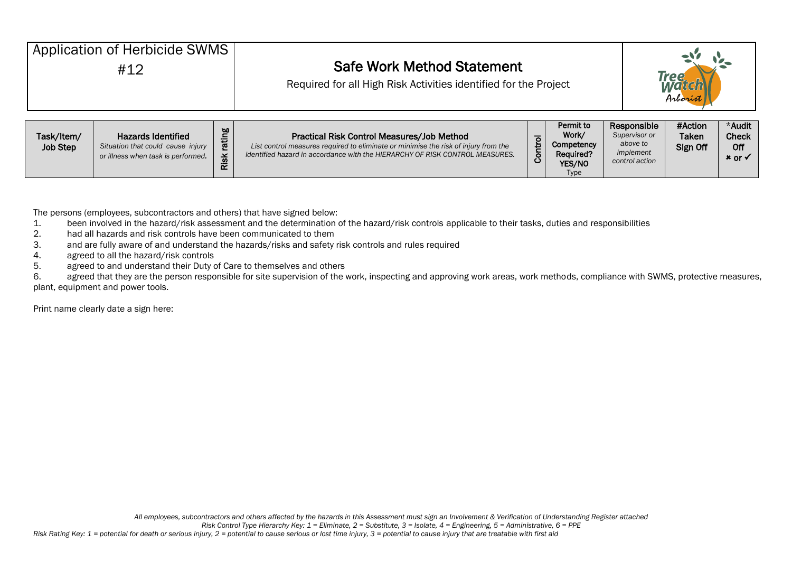| Application of Herbicide SWMS<br>#12 |                                                                                                      |                | <b>Safe Work Method Statement</b><br>Required for all High Risk Activities identified for the Project                                                                                                             |         |                                                                |  |                                                                         | Tree                                |                                                      |  |
|--------------------------------------|------------------------------------------------------------------------------------------------------|----------------|-------------------------------------------------------------------------------------------------------------------------------------------------------------------------------------------------------------------|---------|----------------------------------------------------------------|--|-------------------------------------------------------------------------|-------------------------------------|------------------------------------------------------|--|
| Task/Item/<br><b>Job Step</b>        | <b>Hazards Identified</b><br>Situation that could cause injury<br>or illness when task is performed. | rating<br>Risk | Practical Risk Control Measures/Job Method<br>List control measures required to eliminate or minimise the risk of injury from the<br>identified hazard in accordance with the HIERARCHY OF RISK CONTROL MEASURES. | Control | Permit to<br>Work/<br>Competency<br><b>Required?</b><br>YES/NO |  | Responsible<br>Supervisor or<br>above to<br>implement<br>control action | #Action<br><b>Taken</b><br>Sign Off | *Audit<br><b>Check</b><br>Off<br>$x$ or $\checkmark$ |  |

Type

The persons (employees, subcontractors and others) that have signed below:

- 1. been involved in the hazard/risk assessment and the determination of the hazard/risk controls applicable to their tasks, duties and responsibilities<br>2. had all hazards and risk controls have been communicated to them
- had all hazards and risk controls have been communicated to them
- 3. and are fully aware of and understand the hazards/risks and safety risk controls and rules required
- 4. agreed to all the hazard/risk controls
- 5. agreed to and understand their Duty of Care to themselves and others

6. agreed that they are the person responsible for site supervision of the work, inspecting and approving work areas, work methods, compliance with SWMS, protective measures, plant, equipment and power tools.

Print name clearly date a sign here: